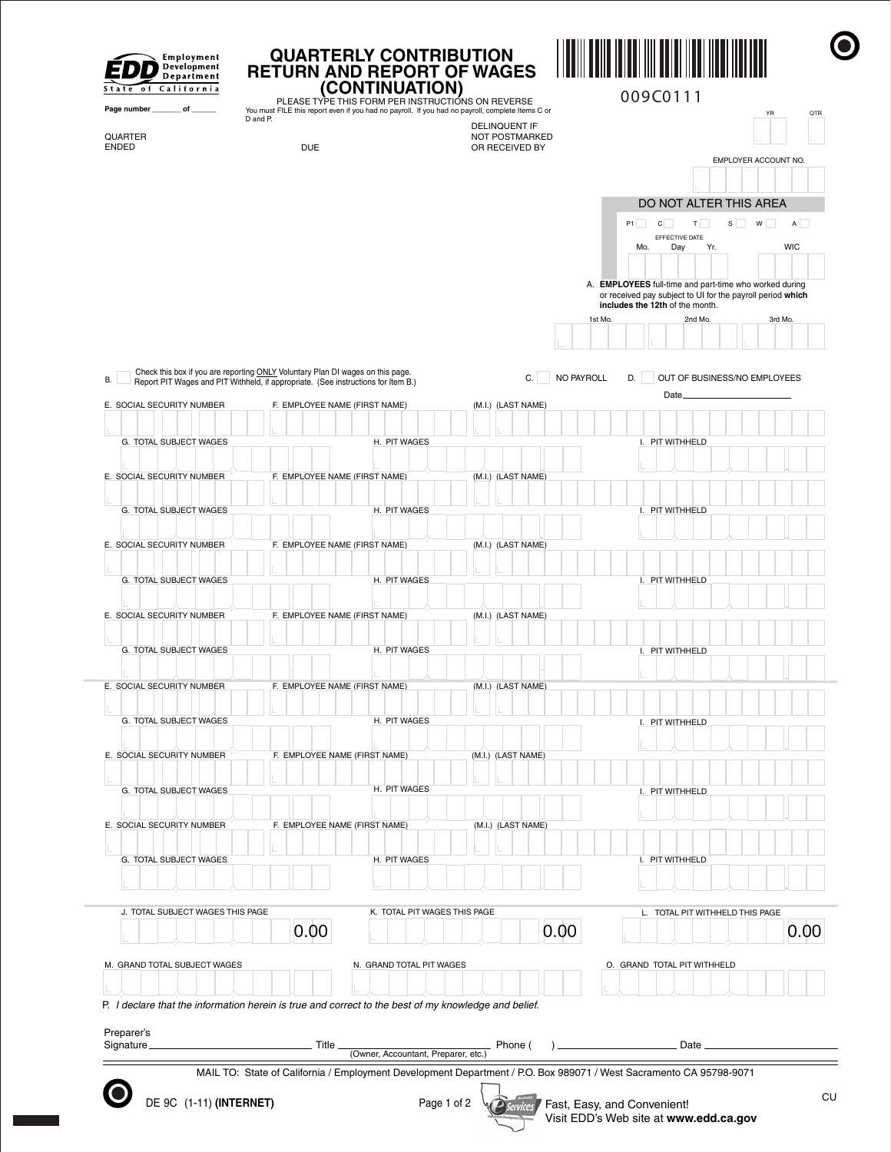| State of California            |                                  |          |                          | RETURN AND REPORT OF WAGES<br>(CONTINUATION)<br>PLEASE TYPE THIS FORM PER INSTRUCTIONS ON REVERSE                                                                   |                              |                                         |                             |            |         | 009C0111 |                                                                                                                      |                      |       |            |     |
|--------------------------------|----------------------------------|----------|--------------------------|---------------------------------------------------------------------------------------------------------------------------------------------------------------------|------------------------------|-----------------------------------------|-----------------------------|------------|---------|----------|----------------------------------------------------------------------------------------------------------------------|----------------------|-------|------------|-----|
| Page number ________ of ______ |                                  | D and P. |                          | You must FILE this report even if you had no payroll. If you had no payroll, complete Items C or                                                                    |                              | <b>DELINQUENT IF</b>                    |                             |            |         |          |                                                                                                                      |                      | YR    |            | QTR |
| QUARTER<br><b>ENDED</b>        |                                  |          | <b>DUE</b>               |                                                                                                                                                                     |                              | <b>NOT POSTMARKED</b><br>OR RECEIVED BY |                             |            |         |          |                                                                                                                      |                      |       |            |     |
|                                |                                  |          |                          |                                                                                                                                                                     |                              |                                         |                             |            |         |          |                                                                                                                      | EMPLOYER ACCOUNT NO. |       |            |     |
|                                |                                  |          |                          |                                                                                                                                                                     |                              |                                         |                             |            |         |          |                                                                                                                      |                      |       |            |     |
|                                |                                  |          |                          |                                                                                                                                                                     |                              |                                         |                             |            |         |          | DO NOT ALTER THIS AREA                                                                                               |                      |       |            |     |
|                                |                                  |          |                          |                                                                                                                                                                     |                              |                                         |                             |            |         | P1<br>c  | T<br>EFFECTIVE DATE                                                                                                  |                      | $S$ W | A          |     |
|                                |                                  |          |                          |                                                                                                                                                                     |                              |                                         |                             |            |         | Mo.      | Day<br>Yr.                                                                                                           |                      |       | <b>WIC</b> |     |
|                                |                                  |          |                          |                                                                                                                                                                     |                              |                                         |                             |            |         |          |                                                                                                                      |                      |       |            |     |
|                                |                                  |          |                          |                                                                                                                                                                     |                              |                                         |                             |            |         |          | A. EMPLOYEES full-time and part-time who worked during<br>or received pay subject to UI for the payroll period which |                      |       |            |     |
|                                |                                  |          |                          |                                                                                                                                                                     |                              |                                         |                             |            | 1st Mo. |          | includes the 12th of the month.<br>2nd Mo.                                                                           |                      |       | 3rd Mo.    |     |
|                                |                                  |          |                          |                                                                                                                                                                     |                              |                                         |                             |            |         |          |                                                                                                                      |                      |       |            |     |
|                                |                                  |          |                          |                                                                                                                                                                     |                              |                                         |                             |            |         |          |                                                                                                                      |                      |       |            |     |
| В.                             |                                  |          |                          | Check this box if you are reporting ONLY Voluntary Plan DI wages on this page.<br>Report PIT Wages and PIT Withheld, if appropriate. (See instructions for Item B.) |                              |                                         | C.                          | NO PAYROLL |         | D.       | OUT OF BUSINESS/NO EMPLOYEES                                                                                         |                      |       |            |     |
| E. SOCIAL SECURITY NUMBER      |                                  |          |                          | F. EMPLOYEE NAME (FIRST NAME)                                                                                                                                       |                              | (M.I.) (LAST NAME)                      |                             |            |         |          | Date,                                                                                                                |                      |       |            |     |
|                                |                                  |          |                          |                                                                                                                                                                     |                              |                                         |                             |            |         |          |                                                                                                                      |                      |       |            |     |
|                                | G. TOTAL SUBJECT WAGES           |          |                          | H. PIT WAGES                                                                                                                                                        |                              |                                         |                             |            |         |          | I. PIT WITHHELD                                                                                                      |                      |       |            |     |
| E. SOCIAL SECURITY NUMBER      |                                  |          |                          | F. EMPLOYEE NAME (FIRST NAME)                                                                                                                                       |                              | (M.I.) (LAST NAME)                      |                             |            |         |          |                                                                                                                      |                      |       |            |     |
|                                |                                  |          |                          |                                                                                                                                                                     |                              |                                         |                             |            |         |          |                                                                                                                      |                      |       |            |     |
|                                | G. TOTAL SUBJECT WAGES           |          |                          | H. PIT WAGES                                                                                                                                                        |                              |                                         |                             |            |         |          | I. PIT WITHHELD                                                                                                      |                      |       |            |     |
|                                |                                  |          |                          |                                                                                                                                                                     |                              |                                         |                             |            |         |          |                                                                                                                      |                      |       |            |     |
| E. SOCIAL SECURITY NUMBER      |                                  |          |                          | F. EMPLOYEE NAME (FIRST NAME)                                                                                                                                       |                              | (M.I.) (LAST NAME)                      |                             |            |         |          |                                                                                                                      |                      |       |            |     |
|                                | G. TOTAL SUBJECT WAGES           |          |                          | H. PIT WAGES                                                                                                                                                        |                              |                                         |                             |            |         |          | I. PIT WITHHELD                                                                                                      |                      |       |            |     |
|                                |                                  |          |                          |                                                                                                                                                                     |                              |                                         |                             |            |         |          |                                                                                                                      |                      |       |            |     |
| E. SOCIAL SECURITY NUMBER      |                                  |          |                          | F. EMPLOYEE NAME (FIRST NAME)                                                                                                                                       |                              | (M.I.) (LAST NAME)                      |                             |            |         |          |                                                                                                                      |                      |       |            |     |
|                                | G. TOTAL SUBJECT WAGES           |          |                          | H. PIT WAGES                                                                                                                                                        |                              |                                         |                             |            |         |          | I. PIT WITHHELD                                                                                                      |                      |       |            |     |
|                                |                                  |          |                          |                                                                                                                                                                     |                              |                                         |                             |            |         |          |                                                                                                                      |                      |       |            |     |
| E. SOCIAL SECURITY NUMBER      |                                  |          |                          | F. EMPLOYEE NAME (FIRST NAME)                                                                                                                                       |                              | (M.I.) (LAST NAME)                      |                             |            |         |          |                                                                                                                      |                      |       |            |     |
|                                |                                  |          |                          |                                                                                                                                                                     |                              |                                         |                             |            |         |          |                                                                                                                      |                      |       |            |     |
|                                | G. TOTAL SUBJECT WAGES           |          |                          | H. PIT WAGES                                                                                                                                                        |                              |                                         |                             |            |         |          | I. PIT WITHHELD                                                                                                      |                      |       |            |     |
| E. SOCIAL SECURITY NUMBER      |                                  |          |                          | F. EMPLOYEE NAME (FIRST NAME)                                                                                                                                       |                              | (M.I.) (LAST NAME)                      |                             |            |         |          |                                                                                                                      |                      |       |            |     |
|                                |                                  |          |                          |                                                                                                                                                                     |                              |                                         |                             |            |         |          |                                                                                                                      |                      |       |            |     |
|                                | G. TOTAL SUBJECT WAGES           |          |                          | H. PIT WAGES                                                                                                                                                        |                              |                                         |                             |            |         |          | I. PIT WITHHELD                                                                                                      |                      |       |            |     |
| E. SOCIAL SECURITY NUMBER      |                                  |          |                          | F. EMPLOYEE NAME (FIRST NAME)                                                                                                                                       |                              | (M.I.) (LAST NAME)                      |                             |            |         |          |                                                                                                                      |                      |       |            |     |
|                                |                                  |          |                          |                                                                                                                                                                     |                              |                                         |                             |            |         |          |                                                                                                                      |                      |       |            |     |
|                                | G. TOTAL SUBJECT WAGES           |          |                          | H. PIT WAGES                                                                                                                                                        |                              |                                         |                             |            |         |          | I. PIT WITHHELD                                                                                                      |                      |       |            |     |
|                                |                                  |          |                          |                                                                                                                                                                     |                              |                                         |                             |            |         |          |                                                                                                                      |                      |       |            |     |
|                                | J. TOTAL SUBJECT WAGES THIS PAGE |          |                          |                                                                                                                                                                     | K. TOTAL PIT WAGES THIS PAGE |                                         |                             |            |         |          | L. TOTAL PIT WITHHELD THIS PAGE                                                                                      |                      |       |            |     |
|                                |                                  |          | 0.00                     |                                                                                                                                                                     |                              |                                         |                             | 0.00       |         |          |                                                                                                                      |                      |       | 0.00       |     |
|                                |                                  |          |                          |                                                                                                                                                                     |                              |                                         |                             |            |         |          |                                                                                                                      |                      |       |            |     |
| M. GRAND TOTAL SUBJECT WAGES   |                                  |          | N. GRAND TOTAL PIT WAGES |                                                                                                                                                                     |                              |                                         | O. GRAND TOTAL PIT WITHHELD |            |         |          |                                                                                                                      |                      |       |            |     |
|                                |                                  |          |                          | P. I declare that the information herein is true and correct to the best of my knowledge and belief.                                                                |                              |                                         |                             |            |         |          |                                                                                                                      |                      |       |            |     |
|                                |                                  |          |                          |                                                                                                                                                                     |                              |                                         |                             |            |         |          |                                                                                                                      |                      |       |            |     |
| Preparer's<br>Signature_       |                                  |          | Title                    |                                                                                                                                                                     |                              |                                         | Phone (                     |            |         |          |                                                                                                                      |                      |       |            |     |
|                                |                                  |          |                          | (Owner, Accountant, Preparer, etc.)                                                                                                                                 |                              |                                         |                             |            |         |          |                                                                                                                      |                      |       |            |     |

 $\bullet$ 

Visit EDD's Web site at **www.edd.ca.gov**